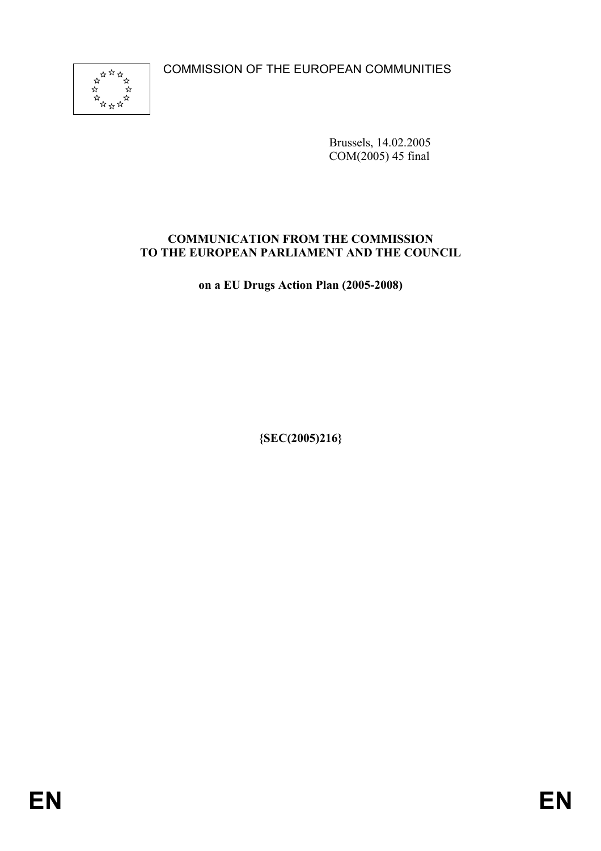COMMISSION OF THE EUROPEAN COMMUNITIES



Brussels, 14.02.2005 COM(2005) 45 final

#### **COMMUNICATION FROM THE COMMISSION TO THE EUROPEAN PARLIAMENT AND THE COUNCIL**

**on a EU Drugs Action Plan (2005-2008)** 

**{SEC(2005)216}**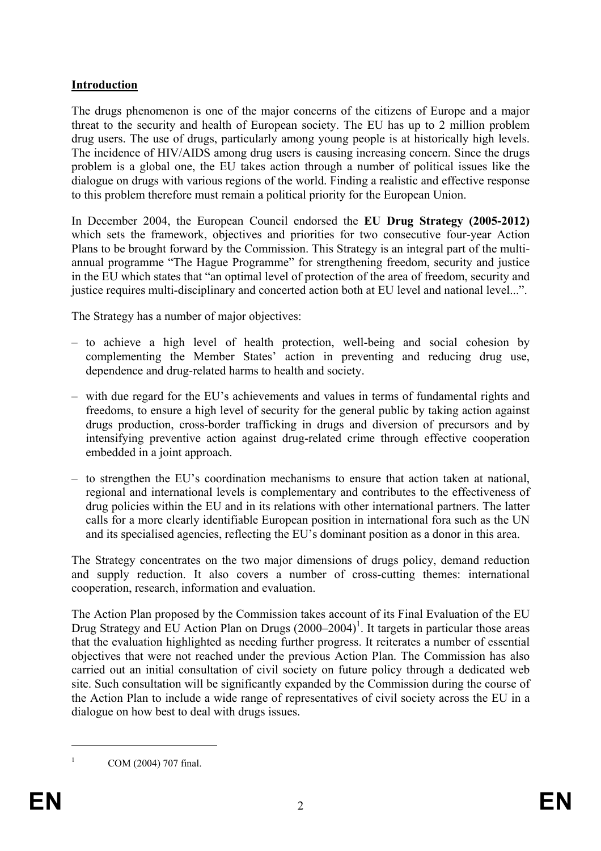#### **Introduction**

The drugs phenomenon is one of the major concerns of the citizens of Europe and a major threat to the security and health of European society. The EU has up to 2 million problem drug users. The use of drugs, particularly among young people is at historically high levels. The incidence of HIV/AIDS among drug users is causing increasing concern. Since the drugs problem is a global one, the EU takes action through a number of political issues like the dialogue on drugs with various regions of the world. Finding a realistic and effective response to this problem therefore must remain a political priority for the European Union.

In December 2004, the European Council endorsed the **EU Drug Strategy (2005-2012)** which sets the framework, objectives and priorities for two consecutive four-year Action Plans to be brought forward by the Commission. This Strategy is an integral part of the multiannual programme "The Hague Programme" for strengthening freedom, security and justice in the EU which states that "an optimal level of protection of the area of freedom, security and justice requires multi-disciplinary and concerted action both at EU level and national level...".

The Strategy has a number of major objectives:

- to achieve a high level of health protection, well-being and social cohesion by complementing the Member States' action in preventing and reducing drug use, dependence and drug-related harms to health and society.
- with due regard for the EU's achievements and values in terms of fundamental rights and freedoms, to ensure a high level of security for the general public by taking action against drugs production, cross-border trafficking in drugs and diversion of precursors and by intensifying preventive action against drug-related crime through effective cooperation embedded in a joint approach.
- to strengthen the EU's coordination mechanisms to ensure that action taken at national, regional and international levels is complementary and contributes to the effectiveness of drug policies within the EU and in its relations with other international partners. The latter calls for a more clearly identifiable European position in international fora such as the UN and its specialised agencies, reflecting the EU's dominant position as a donor in this area.

The Strategy concentrates on the two major dimensions of drugs policy, demand reduction and supply reduction. It also covers a number of cross-cutting themes: international cooperation, research, information and evaluation.

The Action Plan proposed by the Commission takes account of its Final Evaluation of the EU Drug Strategy and EU Action Plan on Drugs  $(2000-2004)^1$ . It targets in particular those areas that the evaluation highlighted as needing further progress. It reiterates a number of essential objectives that were not reached under the previous Action Plan. The Commission has also carried out an initial consultation of civil society on future policy through a dedicated web site. Such consultation will be significantly expanded by the Commission during the course of the Action Plan to include a wide range of representatives of civil society across the EU in a dialogue on how best to deal with drugs issues.

1 1

COM (2004) 707 final.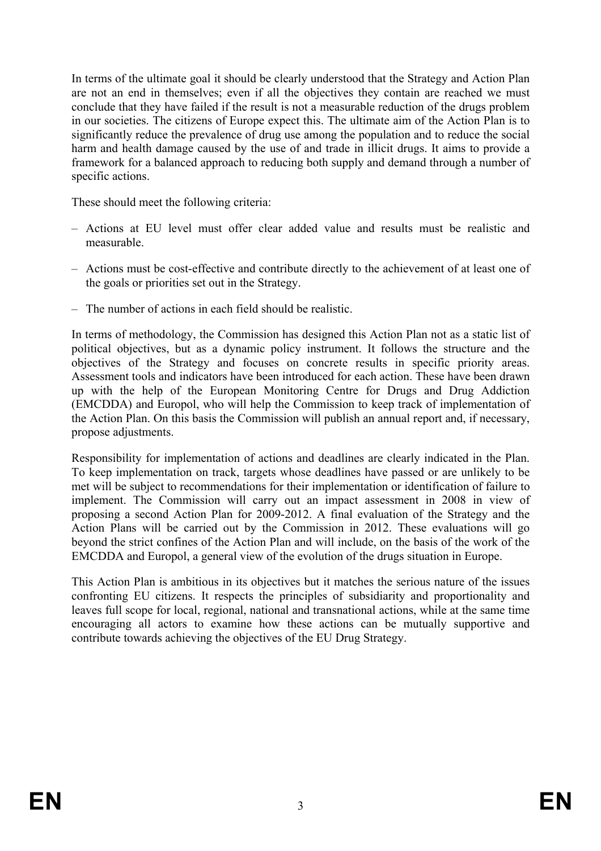In terms of the ultimate goal it should be clearly understood that the Strategy and Action Plan are not an end in themselves; even if all the objectives they contain are reached we must conclude that they have failed if the result is not a measurable reduction of the drugs problem in our societies. The citizens of Europe expect this. The ultimate aim of the Action Plan is to significantly reduce the prevalence of drug use among the population and to reduce the social harm and health damage caused by the use of and trade in illicit drugs. It aims to provide a framework for a balanced approach to reducing both supply and demand through a number of specific actions.

These should meet the following criteria:

- Actions at EU level must offer clear added value and results must be realistic and measurable.
- Actions must be cost-effective and contribute directly to the achievement of at least one of the goals or priorities set out in the Strategy.
- The number of actions in each field should be realistic.

In terms of methodology, the Commission has designed this Action Plan not as a static list of political objectives, but as a dynamic policy instrument. It follows the structure and the objectives of the Strategy and focuses on concrete results in specific priority areas. Assessment tools and indicators have been introduced for each action. These have been drawn up with the help of the European Monitoring Centre for Drugs and Drug Addiction (EMCDDA) and Europol, who will help the Commission to keep track of implementation of the Action Plan. On this basis the Commission will publish an annual report and, if necessary, propose adjustments.

Responsibility for implementation of actions and deadlines are clearly indicated in the Plan. To keep implementation on track, targets whose deadlines have passed or are unlikely to be met will be subject to recommendations for their implementation or identification of failure to implement. The Commission will carry out an impact assessment in 2008 in view of proposing a second Action Plan for 2009-2012. A final evaluation of the Strategy and the Action Plans will be carried out by the Commission in 2012. These evaluations will go beyond the strict confines of the Action Plan and will include, on the basis of the work of the EMCDDA and Europol, a general view of the evolution of the drugs situation in Europe.

This Action Plan is ambitious in its objectives but it matches the serious nature of the issues confronting EU citizens. It respects the principles of subsidiarity and proportionality and leaves full scope for local, regional, national and transnational actions, while at the same time encouraging all actors to examine how these actions can be mutually supportive and contribute towards achieving the objectives of the EU Drug Strategy.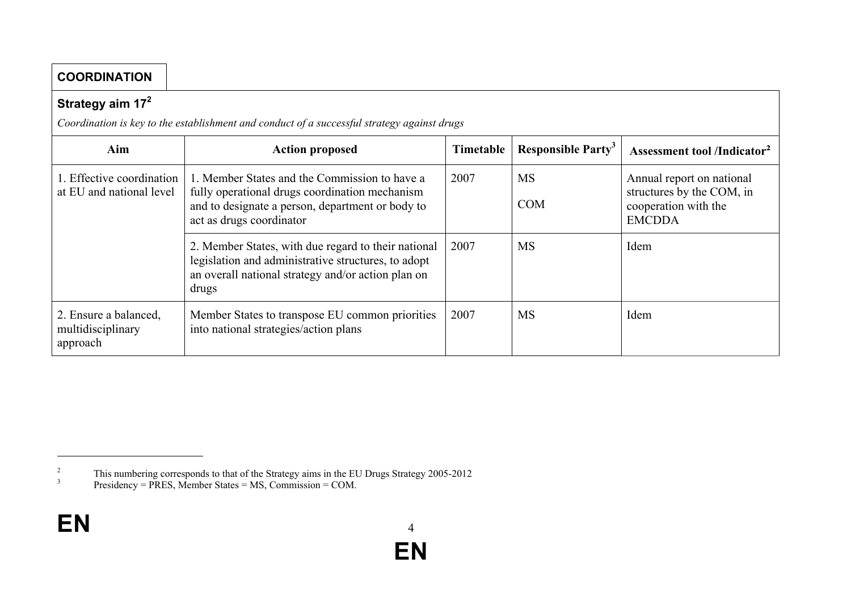| <b>COORDINATION</b>                                    |                                                                                                                                                                                 |           |                                       |                                                                                                 |
|--------------------------------------------------------|---------------------------------------------------------------------------------------------------------------------------------------------------------------------------------|-----------|---------------------------------------|-------------------------------------------------------------------------------------------------|
| Strategy aim 17 <sup>2</sup>                           |                                                                                                                                                                                 |           |                                       |                                                                                                 |
|                                                        | Coordination is key to the establishment and conduct of a successful strategy against drugs                                                                                     |           |                                       |                                                                                                 |
| Aim                                                    | <b>Action proposed</b>                                                                                                                                                          | Timetable | <b>Responsible Party</b> <sup>3</sup> | <b>Assessment tool /Indicator<sup>2</sup></b>                                                   |
| 1. Effective coordination<br>at EU and national level  | 1. Member States and the Commission to have a<br>fully operational drugs coordination mechanism<br>and to designate a person, department or body to<br>act as drugs coordinator | 2007      | <b>MS</b><br><b>COM</b>               | Annual report on national<br>structures by the COM, in<br>cooperation with the<br><b>EMCDDA</b> |
|                                                        | 2. Member States, with due regard to their national<br>legislation and administrative structures, to adopt<br>an overall national strategy and/or action plan on<br>drugs       | 2007      | <b>MS</b>                             | Idem                                                                                            |
| 2. Ensure a balanced,<br>multidisciplinary<br>approach | Member States to transpose EU common priorities<br>into national strategies/action plans                                                                                        | 2007      | <b>MS</b>                             | Idem                                                                                            |

<sup>2</sup><br>This numbering corresponds to that of the Strategy aims in the EU Drugs Strategy 2005-2012<br> $\frac{3}{2}$ <br>Presidency = PRES Member States = MS Commission = COM

Presidency = PRES, Member States = MS, Commission = COM.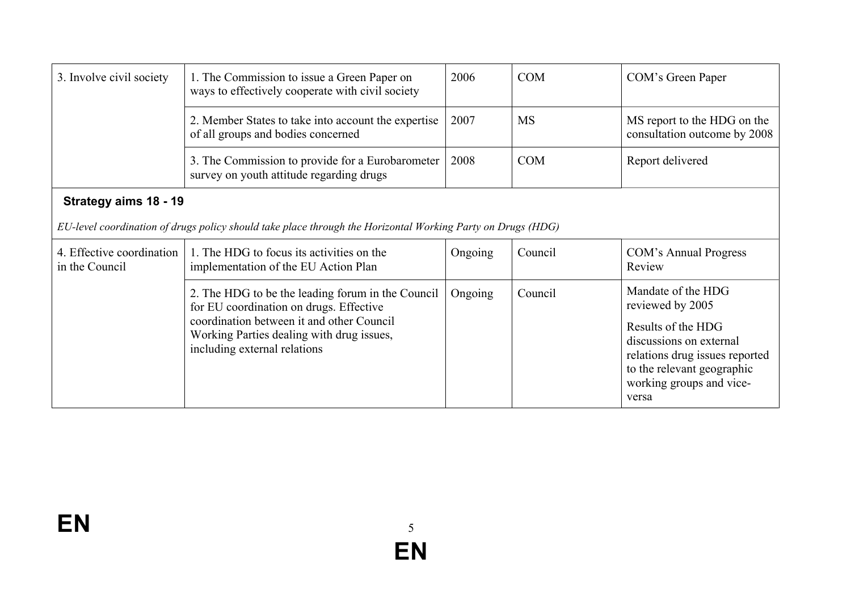| 3. Involve civil society                                                                                                             | 1. The Commission to issue a Green Paper on<br>ways to effectively cooperate with civil society                                                                                                                        | 2006    | <b>COM</b> | COM's Green Paper                                                                                                                                                                            |  |
|--------------------------------------------------------------------------------------------------------------------------------------|------------------------------------------------------------------------------------------------------------------------------------------------------------------------------------------------------------------------|---------|------------|----------------------------------------------------------------------------------------------------------------------------------------------------------------------------------------------|--|
|                                                                                                                                      | 2. Member States to take into account the expertise<br>of all groups and bodies concerned                                                                                                                              | 2007    | <b>MS</b>  | MS report to the HDG on the<br>consultation outcome by 2008                                                                                                                                  |  |
|                                                                                                                                      | 3. The Commission to provide for a Eurobarometer<br>survey on youth attitude regarding drugs                                                                                                                           | 2008    | <b>COM</b> | Report delivered                                                                                                                                                                             |  |
| Strategy aims 18 - 19<br>EU-level coordination of drugs policy should take place through the Horizontal Working Party on Drugs (HDG) |                                                                                                                                                                                                                        |         |            |                                                                                                                                                                                              |  |
|                                                                                                                                      |                                                                                                                                                                                                                        |         |            |                                                                                                                                                                                              |  |
| 4. Effective coordination<br>in the Council                                                                                          | 1. The HDG to focus its activities on the<br>implementation of the EU Action Plan                                                                                                                                      | Ongoing | Council    | COM's Annual Progress<br>Review                                                                                                                                                              |  |
|                                                                                                                                      | 2. The HDG to be the leading forum in the Council<br>for EU coordination on drugs. Effective<br>coordination between it and other Council<br>Working Parties dealing with drug issues,<br>including external relations | Ongoing | Council    | Mandate of the HDG<br>reviewed by 2005<br>Results of the HDG<br>discussions on external<br>relations drug issues reported<br>to the relevant geographic<br>working groups and vice-<br>versa |  |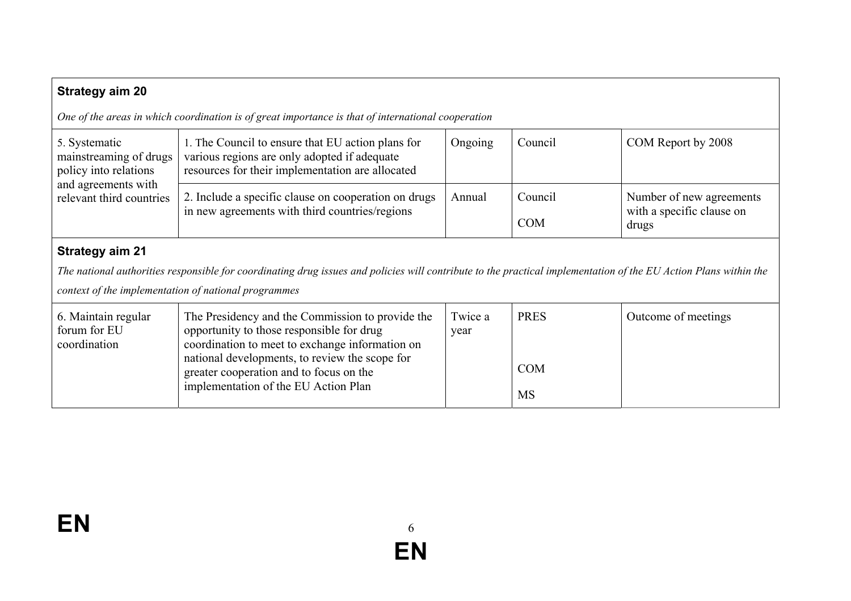| <b>Strategy aim 20</b>                                                                                                                                                                                                                             |                                                                                                                                                                                                                                                                                       |                 |                                           |                                                                |
|----------------------------------------------------------------------------------------------------------------------------------------------------------------------------------------------------------------------------------------------------|---------------------------------------------------------------------------------------------------------------------------------------------------------------------------------------------------------------------------------------------------------------------------------------|-----------------|-------------------------------------------|----------------------------------------------------------------|
|                                                                                                                                                                                                                                                    | One of the areas in which coordination is of great importance is that of international cooperation                                                                                                                                                                                    |                 |                                           |                                                                |
| 5. Systematic<br>mainstreaming of drugs<br>policy into relations<br>and agreements with<br>relevant third countries                                                                                                                                | 1. The Council to ensure that EU action plans for<br>various regions are only adopted if adequate<br>resources for their implementation are allocated                                                                                                                                 | Ongoing         | Council                                   | COM Report by 2008                                             |
|                                                                                                                                                                                                                                                    | 2. Include a specific clause on cooperation on drugs<br>in new agreements with third countries/regions                                                                                                                                                                                | Annual          | Council<br><b>COM</b>                     | Number of new agreements<br>with a specific clause on<br>drugs |
| <b>Strategy aim 21</b><br>The national authorities responsible for coordinating drug issues and policies will contribute to the practical implementation of the EU Action Plans within the<br>context of the implementation of national programmes |                                                                                                                                                                                                                                                                                       |                 |                                           |                                                                |
| 6. Maintain regular<br>forum for EU<br>coordination                                                                                                                                                                                                | The Presidency and the Commission to provide the<br>opportunity to those responsible for drug<br>coordination to meet to exchange information on<br>national developments, to review the scope for<br>greater cooperation and to focus on the<br>implementation of the EU Action Plan | Twice a<br>year | <b>PRES</b><br><b>COM</b><br>$\mathbf{r}$ | Outcome of meetings                                            |

MS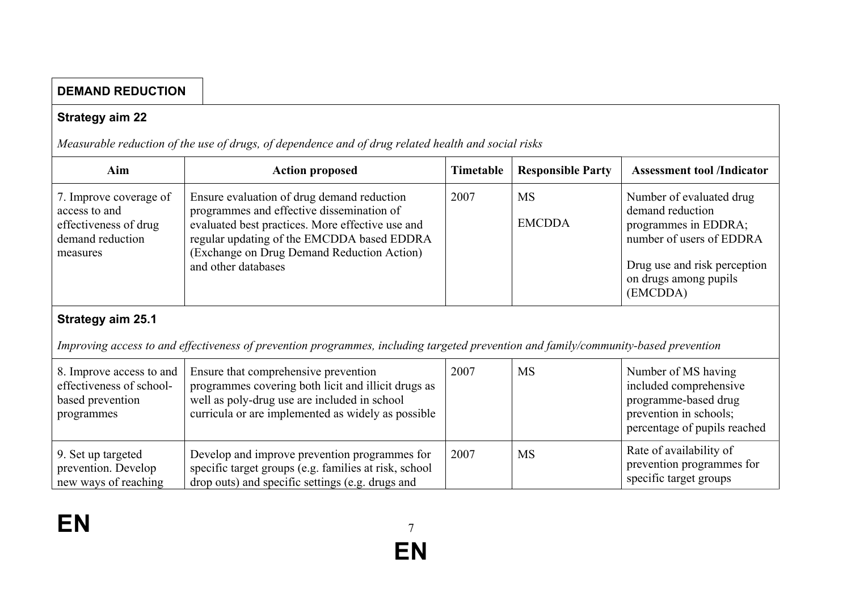## **DEMAND REDUCTION**

#### **Strategy aim 22**

*Measurable reduction of the use of drugs, of dependence and of drug related health and social risks*

drop outs) and specific settings (e.g. drugs and

| Aim                                                                                              | <b>Action proposed</b>                                                                                                                                                                                                                                         | Timetable | <b>Responsible Party</b>   | <b>Assessment tool /Indicator</b>                                                                                                                                     |
|--------------------------------------------------------------------------------------------------|----------------------------------------------------------------------------------------------------------------------------------------------------------------------------------------------------------------------------------------------------------------|-----------|----------------------------|-----------------------------------------------------------------------------------------------------------------------------------------------------------------------|
| 7. Improve coverage of<br>access to and<br>effectiveness of drug<br>demand reduction<br>measures | Ensure evaluation of drug demand reduction<br>programmes and effective dissemination of<br>evaluated best practices. More effective use and<br>regular updating of the EMCDDA based EDDRA<br>(Exchange on Drug Demand Reduction Action)<br>and other databases | 2007      | <b>MS</b><br><b>EMCDDA</b> | Number of evaluated drug<br>demand reduction<br>programmes in EDDRA;<br>number of users of EDDRA<br>Drug use and risk perception<br>on drugs among pupils<br>(EMCDDA) |
| Strategy aim 25.1                                                                                |                                                                                                                                                                                                                                                                |           |                            |                                                                                                                                                                       |
|                                                                                                  | Improving access to and effectiveness of prevention programmes, including targeted prevention and family/community-based prevention                                                                                                                            |           |                            |                                                                                                                                                                       |
| 8. Improve access to and<br>effectiveness of school-<br>based prevention<br>programmes           | Ensure that comprehensive prevention<br>programmes covering both licit and illicit drugs as<br>well as poly-drug use are included in school<br>curricula or are implemented as widely as possible                                                              | 2007      | <b>MS</b>                  | Number of MS having<br>included comprehensive<br>programme-based drug<br>prevention in schools;<br>percentage of pupils reached                                       |
| 9. Set up targeted<br>prevention. Develop                                                        | Develop and improve prevention programmes for<br>specific target groups (e.g. families at risk, school                                                                                                                                                         | 2007      | <b>MS</b>                  | Rate of availability of<br>prevention programmes for                                                                                                                  |

new ways of reaching

specific target groups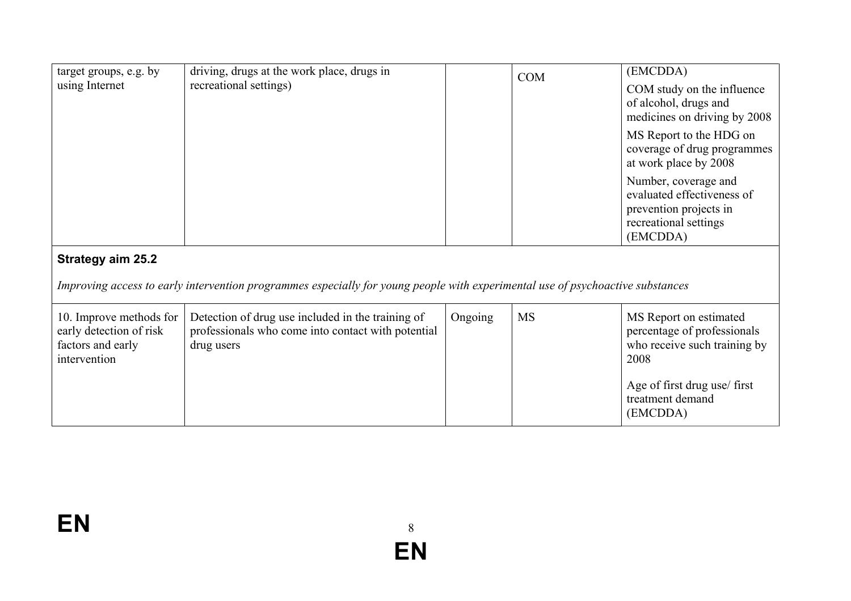| target groups, e.g. by<br>using Internet                                                | driving, drugs at the work place, drugs in<br>recreational settings)                                                           |         | <b>COM</b> | (EMCDDA)<br>COM study on the influence<br>of alcohol, drugs and<br>medicines on driving by 2008<br>MS Report to the HDG on |
|-----------------------------------------------------------------------------------------|--------------------------------------------------------------------------------------------------------------------------------|---------|------------|----------------------------------------------------------------------------------------------------------------------------|
|                                                                                         |                                                                                                                                |         |            | coverage of drug programmes<br>at work place by 2008                                                                       |
|                                                                                         |                                                                                                                                |         |            | Number, coverage and<br>evaluated effectiveness of<br>prevention projects in<br>recreational settings<br>(EMCDDA)          |
| <b>Strategy aim 25.2</b>                                                                |                                                                                                                                |         |            |                                                                                                                            |
|                                                                                         | Improving access to early intervention programmes especially for young people with experimental use of psychoactive substances |         |            |                                                                                                                            |
| 10. Improve methods for<br>early detection of risk<br>factors and early<br>intervention | Detection of drug use included in the training of<br>professionals who come into contact with potential<br>drug users          | Ongoing | <b>MS</b>  | MS Report on estimated<br>percentage of professionals<br>who receive such training by<br>2008                              |
|                                                                                         |                                                                                                                                |         |            | Age of first drug use/ first<br>treatment demand<br>(EMCDDA)                                                               |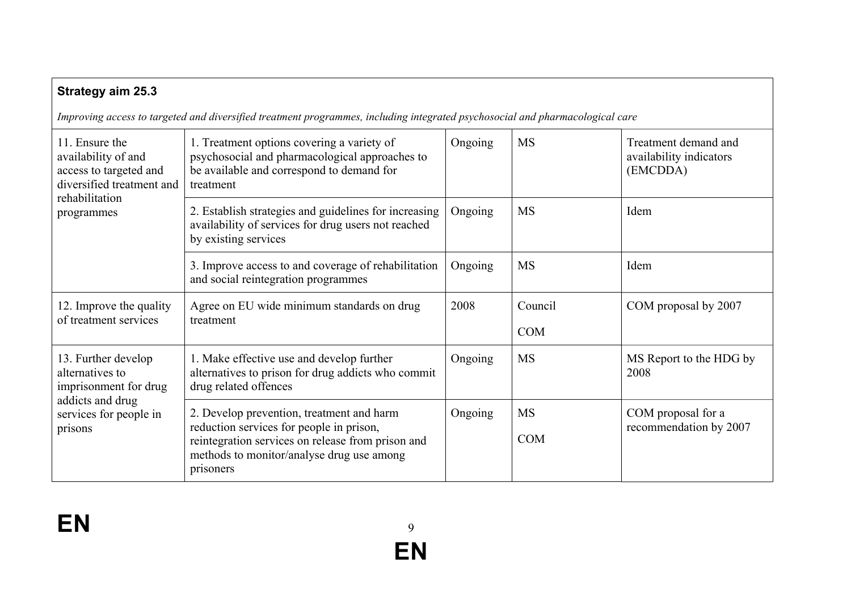| <b>Strategy aim 25.3</b>                                                                                                     |                                                                                                                                                                                                      |         |                         |                                                             |
|------------------------------------------------------------------------------------------------------------------------------|------------------------------------------------------------------------------------------------------------------------------------------------------------------------------------------------------|---------|-------------------------|-------------------------------------------------------------|
|                                                                                                                              | Improving access to targeted and diversified treatment programmes, including integrated psychosocial and pharmacological care                                                                        |         |                         |                                                             |
| 11. Ensure the<br>availability of and<br>access to targeted and<br>diversified treatment and<br>rehabilitation<br>programmes | 1. Treatment options covering a variety of<br>psychosocial and pharmacological approaches to<br>be available and correspond to demand for<br>treatment                                               | Ongoing | <b>MS</b>               | Treatment demand and<br>availability indicators<br>(EMCDDA) |
|                                                                                                                              | 2. Establish strategies and guidelines for increasing<br>availability of services for drug users not reached<br>by existing services                                                                 | Ongoing | <b>MS</b>               | Idem                                                        |
|                                                                                                                              | 3. Improve access to and coverage of rehabilitation<br>and social reintegration programmes                                                                                                           | Ongoing | <b>MS</b>               | Idem                                                        |
| 12. Improve the quality<br>of treatment services                                                                             | Agree on EU wide minimum standards on drug<br>treatment                                                                                                                                              | 2008    | Council<br><b>COM</b>   | COM proposal by 2007                                        |
| 13. Further develop<br>alternatives to<br>imprisonment for drug<br>addicts and drug<br>services for people in<br>prisons     | 1. Make effective use and develop further<br>alternatives to prison for drug addicts who commit<br>drug related offences                                                                             | Ongoing | <b>MS</b>               | MS Report to the HDG by<br>2008                             |
|                                                                                                                              | 2. Develop prevention, treatment and harm<br>reduction services for people in prison,<br>reintegration services on release from prison and<br>methods to monitor/analyse drug use among<br>prisoners | Ongoing | <b>MS</b><br><b>COM</b> | COM proposal for a<br>recommendation by 2007                |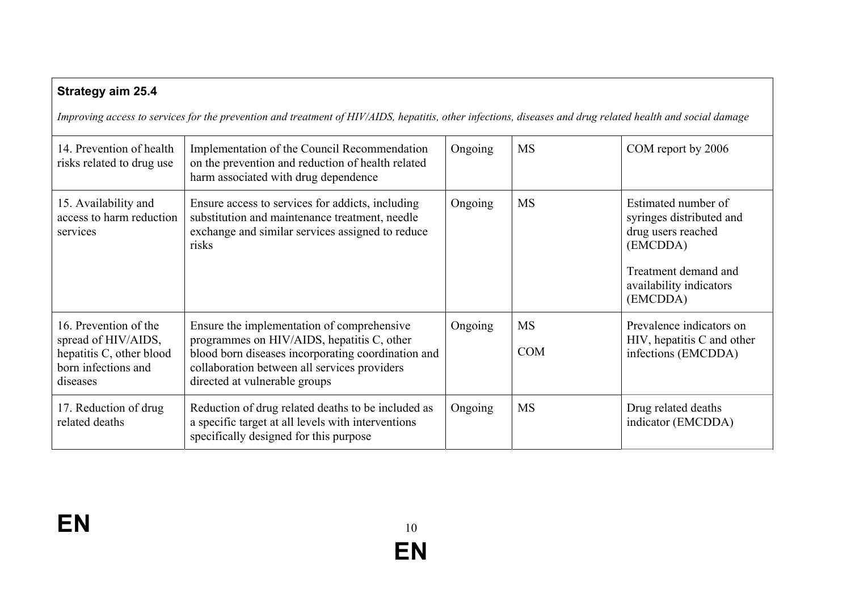| <b>Strategy aim 25.4</b><br>Improving access to services for the prevention and treatment of HIV/AIDS, hepatitis, other infections, diseases and drug related health and social damage |                                                                                                                                                                                                                                 |         |                         |                                                                                                                                                  |  |
|----------------------------------------------------------------------------------------------------------------------------------------------------------------------------------------|---------------------------------------------------------------------------------------------------------------------------------------------------------------------------------------------------------------------------------|---------|-------------------------|--------------------------------------------------------------------------------------------------------------------------------------------------|--|
| 14. Prevention of health<br>risks related to drug use                                                                                                                                  | Implementation of the Council Recommendation<br>on the prevention and reduction of health related<br>harm associated with drug dependence                                                                                       | Ongoing | <b>MS</b>               | COM report by 2006                                                                                                                               |  |
| 15. Availability and<br>access to harm reduction<br>services                                                                                                                           | Ensure access to services for addicts, including<br>substitution and maintenance treatment, needle<br>exchange and similar services assigned to reduce<br>risks                                                                 | Ongoing | <b>MS</b>               | Estimated number of<br>syringes distributed and<br>drug users reached<br>(EMCDDA)<br>Treatment demand and<br>availability indicators<br>(EMCDDA) |  |
| 16. Prevention of the<br>spread of HIV/AIDS,<br>hepatitis C, other blood<br>born infections and<br>diseases                                                                            | Ensure the implementation of comprehensive<br>programmes on HIV/AIDS, hepatitis C, other<br>blood born diseases incorporating coordination and<br>collaboration between all services providers<br>directed at vulnerable groups | Ongoing | <b>MS</b><br><b>COM</b> | Prevalence indicators on<br>HIV, hepatitis C and other<br>infections (EMCDDA)                                                                    |  |
| 17. Reduction of drug<br>related deaths                                                                                                                                                | Reduction of drug related deaths to be included as<br>a specific target at all levels with interventions<br>specifically designed for this purpose                                                                              | Ongoing | <b>MS</b>               | Drug related deaths<br>indicator (EMCDDA)                                                                                                        |  |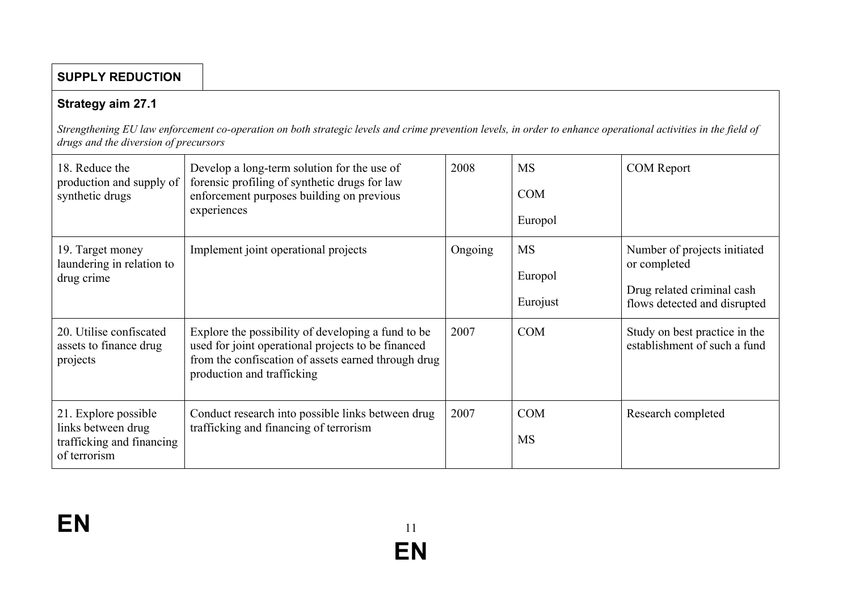#### **SUPPLY REDUCTION**

#### **Strategy aim 27.1**

*Strengthening EU law enforcement co-operation on both strategic levels and crime prevention levels, in order to enhance operational activities in the field of drugs and the diversion of precursors*

| 18. Reduce the<br>production and supply of<br>synthetic drugs                           | Develop a long-term solution for the use of<br>forensic profiling of synthetic drugs for law<br>enforcement purposes building on previous<br>experiences                                      | 2008    | <b>MS</b><br><b>COM</b><br>Europol | <b>COM</b> Report                                                                                          |
|-----------------------------------------------------------------------------------------|-----------------------------------------------------------------------------------------------------------------------------------------------------------------------------------------------|---------|------------------------------------|------------------------------------------------------------------------------------------------------------|
| 19. Target money<br>laundering in relation to<br>drug crime                             | Implement joint operational projects                                                                                                                                                          | Ongoing | <b>MS</b><br>Europol<br>Eurojust   | Number of projects initiated<br>or completed<br>Drug related criminal cash<br>flows detected and disrupted |
| 20. Utilise confiscated<br>assets to finance drug<br>projects                           | Explore the possibility of developing a fund to be<br>used for joint operational projects to be financed<br>from the confiscation of assets earned through drug<br>production and trafficking | 2007    | <b>COM</b>                         | Study on best practice in the<br>establishment of such a fund                                              |
| 21. Explore possible<br>links between drug<br>trafficking and financing<br>of terrorism | Conduct research into possible links between drug<br>trafficking and financing of terrorism                                                                                                   | 2007    | <b>COM</b><br><b>MS</b>            | Research completed                                                                                         |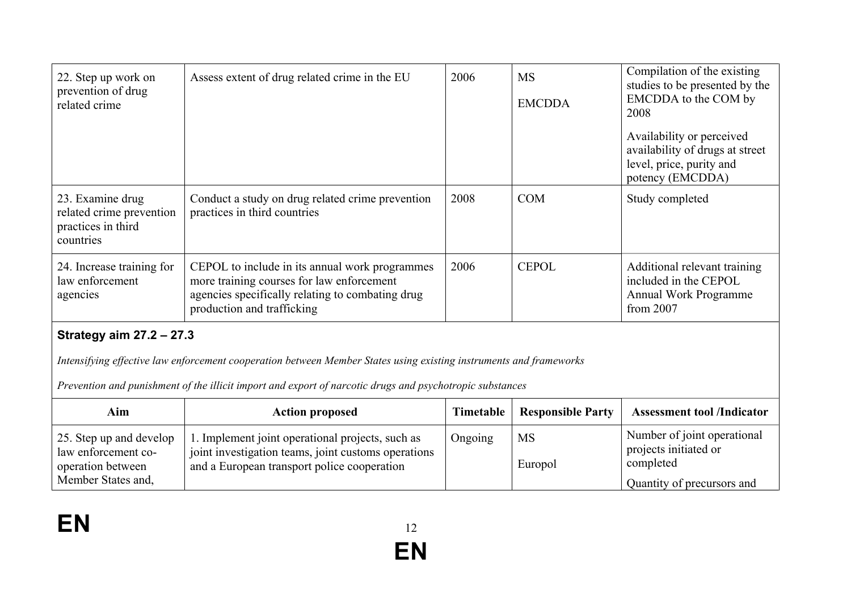| 22. Step up work on<br>prevention of drug<br>related crime                                                                                                                                                                     | Assess extent of drug related crime in the EU                                                                                                                                 | 2006      | <b>MS</b><br><b>EMCDDA</b> | Compilation of the existing<br>studies to be presented by the<br>EMCDDA to the COM by<br>2008<br>Availability or perceived<br>availability of drugs at street<br>level, price, purity and |
|--------------------------------------------------------------------------------------------------------------------------------------------------------------------------------------------------------------------------------|-------------------------------------------------------------------------------------------------------------------------------------------------------------------------------|-----------|----------------------------|-------------------------------------------------------------------------------------------------------------------------------------------------------------------------------------------|
|                                                                                                                                                                                                                                |                                                                                                                                                                               |           |                            | potency (EMCDDA)                                                                                                                                                                          |
| 23. Examine drug<br>related crime prevention<br>practices in third<br>countries                                                                                                                                                | Conduct a study on drug related crime prevention<br>practices in third countries                                                                                              | 2008      | <b>COM</b>                 | Study completed                                                                                                                                                                           |
| 24. Increase training for<br>law enforcement<br>agencies                                                                                                                                                                       | CEPOL to include in its annual work programmes<br>more training courses for law enforcement<br>agencies specifically relating to combating drug<br>production and trafficking | 2006      | <b>CEPOL</b>               | Additional relevant training<br>included in the CEPOL<br>Annual Work Programme<br>from 2007                                                                                               |
| <b>Strategy aim 27.2 - 27.3</b>                                                                                                                                                                                                |                                                                                                                                                                               |           |                            |                                                                                                                                                                                           |
| Intensifying effective law enforcement cooperation between Member States using existing instruments and frameworks<br>Prevention and punishment of the illicit import and export of narcotic drugs and psychotropic substances |                                                                                                                                                                               |           |                            |                                                                                                                                                                                           |
| Aim                                                                                                                                                                                                                            | <b>Action proposed</b>                                                                                                                                                        | Timetable | <b>Responsible Party</b>   | <b>Assessment tool /Indicator</b>                                                                                                                                                         |
| 25. Step up and develop<br>law enforcement co-<br>operation between                                                                                                                                                            | 1. Implement joint operational projects, such as<br>joint investigation teams, joint customs operations<br>and a European transport police cooperation                        | Ongoing   | <b>MS</b><br>Europol       | Number of joint operational<br>projects initiated or<br>completed                                                                                                                         |
| Member States and,                                                                                                                                                                                                             |                                                                                                                                                                               |           |                            | Quantity of precursors and                                                                                                                                                                |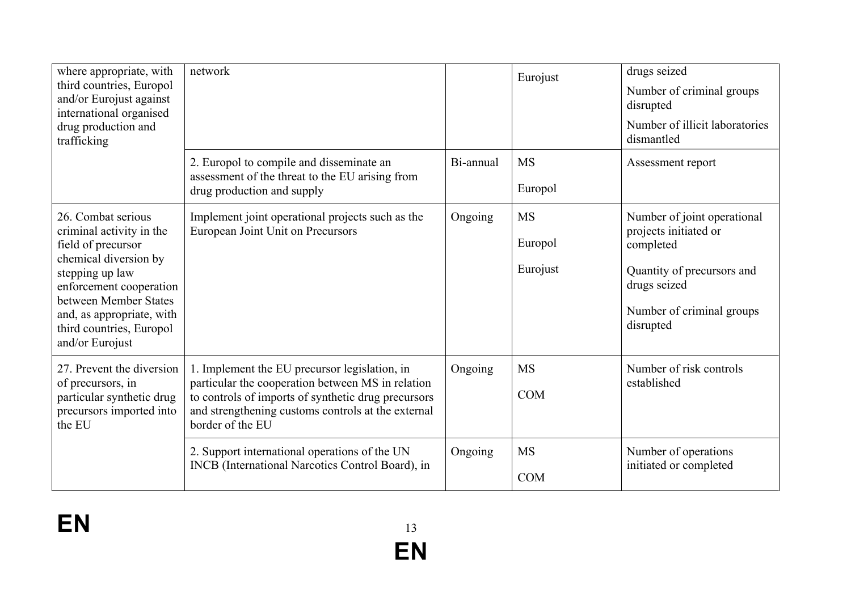| where appropriate, with<br>third countries, Europol<br>and/or Eurojust against<br>international organised<br>drug production and<br>trafficking                                                                                                  | network                                                                                                                                                                                                                             |           | Eurojust                         | drugs seized<br>Number of criminal groups<br>disrupted<br>Number of illicit laboratories<br>dismantled                                                    |
|--------------------------------------------------------------------------------------------------------------------------------------------------------------------------------------------------------------------------------------------------|-------------------------------------------------------------------------------------------------------------------------------------------------------------------------------------------------------------------------------------|-----------|----------------------------------|-----------------------------------------------------------------------------------------------------------------------------------------------------------|
|                                                                                                                                                                                                                                                  | 2. Europol to compile and disseminate an<br>assessment of the threat to the EU arising from<br>drug production and supply                                                                                                           | Bi-annual | <b>MS</b><br>Europol             | Assessment report                                                                                                                                         |
| 26. Combat serious<br>criminal activity in the<br>field of precursor<br>chemical diversion by<br>stepping up law<br>enforcement cooperation<br>between Member States<br>and, as appropriate, with<br>third countries, Europol<br>and/or Eurojust | Implement joint operational projects such as the<br>European Joint Unit on Precursors                                                                                                                                               | Ongoing   | <b>MS</b><br>Europol<br>Eurojust | Number of joint operational<br>projects initiated or<br>completed<br>Quantity of precursors and<br>drugs seized<br>Number of criminal groups<br>disrupted |
| 27. Prevent the diversion<br>of precursors, in<br>particular synthetic drug<br>precursors imported into<br>the EU                                                                                                                                | 1. Implement the EU precursor legislation, in<br>particular the cooperation between MS in relation<br>to controls of imports of synthetic drug precursors<br>and strengthening customs controls at the external<br>border of the EU | Ongoing   | <b>MS</b><br><b>COM</b>          | Number of risk controls<br>established                                                                                                                    |
|                                                                                                                                                                                                                                                  | 2. Support international operations of the UN<br>INCB (International Narcotics Control Board), in                                                                                                                                   | Ongoing   | <b>MS</b><br><b>COM</b>          | Number of operations<br>initiated or completed                                                                                                            |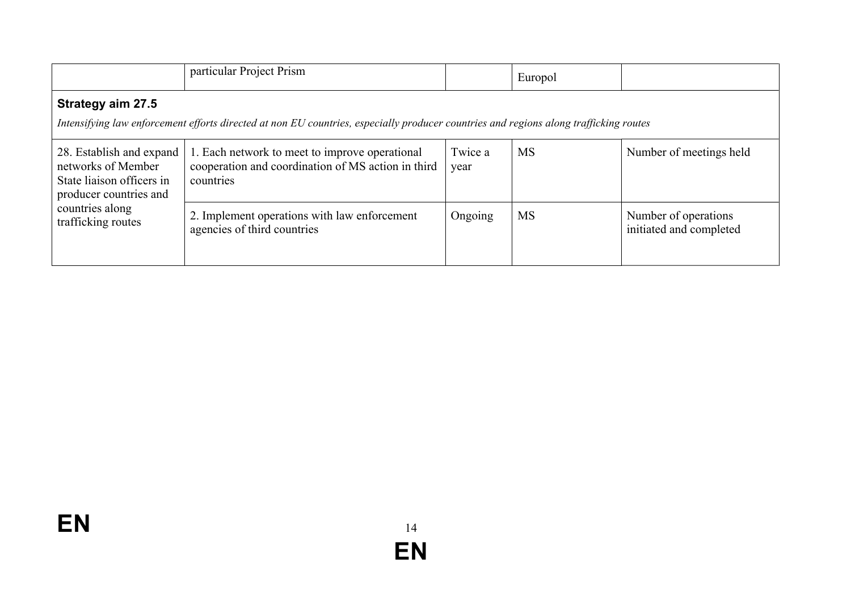|                                                                                                                                                                   | particular Project Prism                                                                                          |                 | Europol   |                                                 |
|-------------------------------------------------------------------------------------------------------------------------------------------------------------------|-------------------------------------------------------------------------------------------------------------------|-----------------|-----------|-------------------------------------------------|
| <b>Strategy aim 27.5</b><br>Intensifying law enforcement efforts directed at non EU countries, especially producer countries and regions along trafficking routes |                                                                                                                   |                 |           |                                                 |
| 28. Establish and expand<br>networks of Member<br>State liaison officers in<br>producer countries and<br>countries along<br>trafficking routes                    | 1. Each network to meet to improve operational<br>cooperation and coordination of MS action in third<br>countries | Twice a<br>year | <b>MS</b> | Number of meetings held                         |
|                                                                                                                                                                   | 2. Implement operations with law enforcement<br>agencies of third countries                                       | Ongoing         | <b>MS</b> | Number of operations<br>initiated and completed |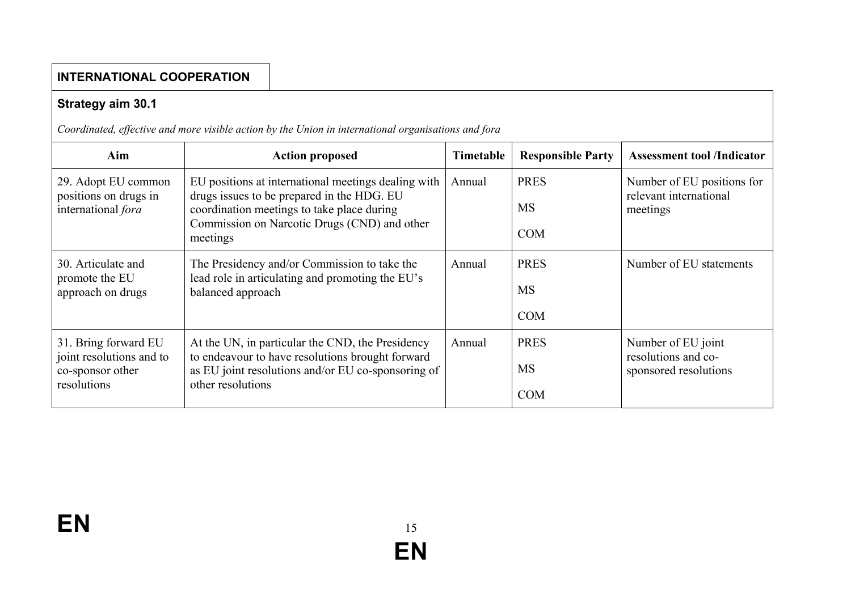# **Strategy aim 30.1**

*Coordinated, effective and more visible action by the Union in international organisations and fora*

| Aim                                                                                 | <b>Action proposed</b>                                                                                                                                                                                      | Timetable | <b>Responsible Party</b>               | <b>Assessment tool /Indicator</b>                                  |
|-------------------------------------------------------------------------------------|-------------------------------------------------------------------------------------------------------------------------------------------------------------------------------------------------------------|-----------|----------------------------------------|--------------------------------------------------------------------|
| 29. Adopt EU common<br>positions on drugs in<br>international fora                  | EU positions at international meetings dealing with<br>drugs issues to be prepared in the HDG. EU<br>coordination meetings to take place during<br>Commission on Narcotic Drugs (CND) and other<br>meetings | Annual    | <b>PRES</b><br><b>MS</b><br><b>COM</b> | Number of EU positions for<br>relevant international<br>meetings   |
| 30. Articulate and<br>promote the EU<br>approach on drugs                           | The Presidency and/or Commission to take the<br>lead role in articulating and promoting the EU's<br>balanced approach                                                                                       | Annual    | <b>PRES</b><br><b>MS</b><br><b>COM</b> | Number of EU statements                                            |
| 31. Bring forward EU<br>joint resolutions and to<br>co-sponsor other<br>resolutions | At the UN, in particular the CND, the Presidency<br>to endeavour to have resolutions brought forward<br>as EU joint resolutions and/or EU co-sponsoring of<br>other resolutions                             | Annual    | <b>PRES</b><br><b>MS</b><br><b>COM</b> | Number of EU joint<br>resolutions and co-<br>sponsored resolutions |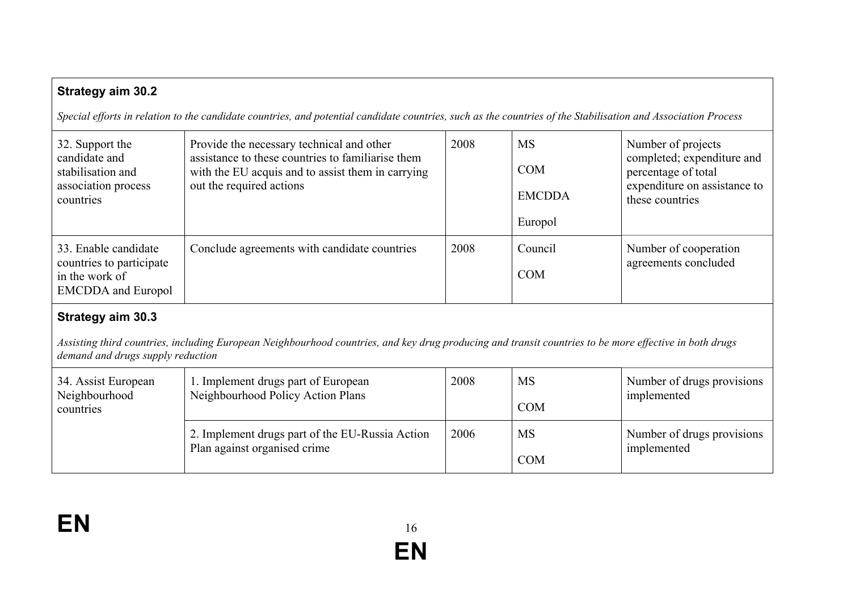## **Strategy aim 30.2**

*Special efforts in relation to the candidate countries, and potential candidate countries, such as the countries of the Stabilisation and Association Process* 

| 32. Support the<br>candidate and<br>stabilisation and<br>association process<br>countries       | Provide the necessary technical and other<br>assistance to these countries to familiarise them<br>with the EU acquis and to assist them in carrying<br>out the required actions | 2008 | <b>MS</b><br><b>COM</b><br><b>EMCDDA</b><br>Europol | Number of projects<br>completed; expenditure and<br>percentage of total<br>expenditure on assistance to<br>these countries |
|-------------------------------------------------------------------------------------------------|---------------------------------------------------------------------------------------------------------------------------------------------------------------------------------|------|-----------------------------------------------------|----------------------------------------------------------------------------------------------------------------------------|
| 33. Enable candidate<br>countries to participate<br>in the work of<br><b>EMCDDA</b> and Europol | Conclude agreements with candidate countries                                                                                                                                    | 2008 | Council<br><b>COM</b>                               | Number of cooperation<br>agreements concluded                                                                              |

#### **Strategy aim 30.3**

*Assisting third countries, including European Neighbourhood countries, and key drug producing and transit countries to be more effective in both drugs demand and drugs supply reduction* 

| 34. Assist European<br>Neighbourhood<br>countries | 1. Implement drugs part of European<br>Neighbourhood Policy Action Plans        | 2008 | <b>MS</b><br><b>COM</b> | Number of drugs provisions<br>implemented |
|---------------------------------------------------|---------------------------------------------------------------------------------|------|-------------------------|-------------------------------------------|
|                                                   | 2. Implement drugs part of the EU-Russia Action<br>Plan against organised crime | 2006 | MS<br><b>COM</b>        | Number of drugs provisions<br>implemented |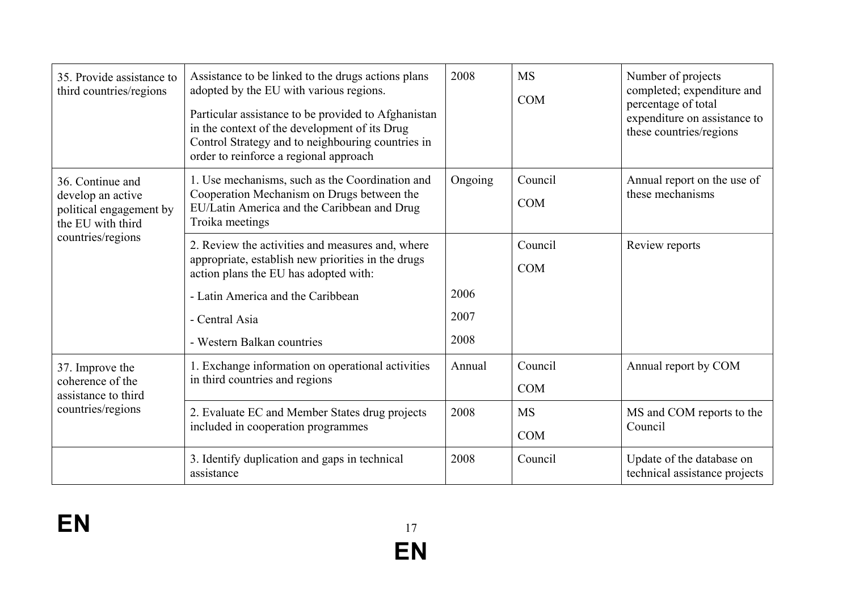| 35. Provide assistance to<br>third countries/regions                                  | Assistance to be linked to the drugs actions plans<br>adopted by the EU with various regions.<br>Particular assistance to be provided to Afghanistan<br>in the context of the development of its Drug<br>Control Strategy and to neighbouring countries in<br>order to reinforce a regional approach | 2008                 | <b>MS</b><br><b>COM</b> | Number of projects<br>completed; expenditure and<br>percentage of total<br>expenditure on assistance to<br>these countries/regions |
|---------------------------------------------------------------------------------------|------------------------------------------------------------------------------------------------------------------------------------------------------------------------------------------------------------------------------------------------------------------------------------------------------|----------------------|-------------------------|------------------------------------------------------------------------------------------------------------------------------------|
| 36. Continue and<br>develop an active<br>political engagement by<br>the EU with third | 1. Use mechanisms, such as the Coordination and<br>Cooperation Mechanism on Drugs between the<br>EU/Latin America and the Caribbean and Drug<br>Troika meetings                                                                                                                                      | Ongoing              | Council<br><b>COM</b>   | Annual report on the use of<br>these mechanisms                                                                                    |
| countries/regions                                                                     | 2. Review the activities and measures and, where<br>appropriate, establish new priorities in the drugs<br>action plans the EU has adopted with:<br>- Latin America and the Caribbean<br>- Central Asia<br>- Western Balkan countries                                                                 | 2006<br>2007<br>2008 | Council<br><b>COM</b>   | Review reports                                                                                                                     |
| 37. Improve the<br>coherence of the<br>assistance to third                            | 1. Exchange information on operational activities<br>in third countries and regions                                                                                                                                                                                                                  | Annual               | Council<br><b>COM</b>   | Annual report by COM                                                                                                               |
| countries/regions                                                                     | 2. Evaluate EC and Member States drug projects<br>included in cooperation programmes                                                                                                                                                                                                                 | 2008                 | <b>MS</b><br><b>COM</b> | MS and COM reports to the<br>Council                                                                                               |
|                                                                                       | 3. Identify duplication and gaps in technical<br>assistance                                                                                                                                                                                                                                          | 2008                 | Council                 | Update of the database on<br>technical assistance projects                                                                         |

**EN** 17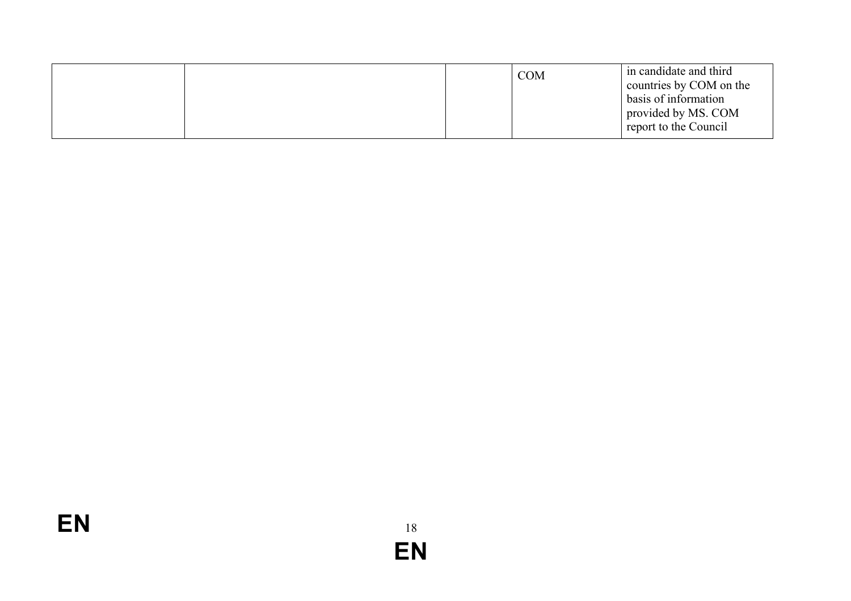| e report to the Council |  |  |  | <b>COM</b> | in candidate and third<br>countries by COM on the<br>basis of information<br>provided by MS. COM |
|-------------------------|--|--|--|------------|--------------------------------------------------------------------------------------------------|
|-------------------------|--|--|--|------------|--------------------------------------------------------------------------------------------------|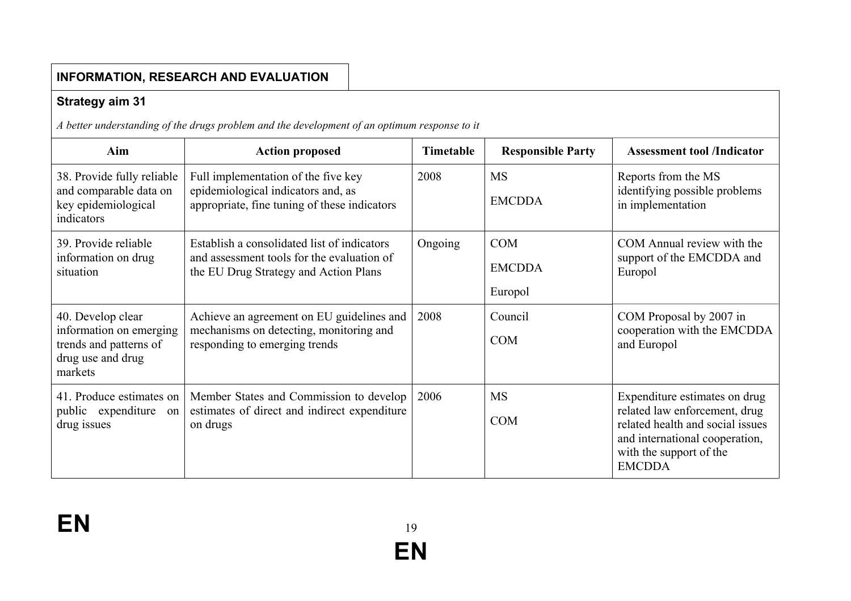|                                                                                                        | <b>INFORMATION, RESEARCH AND EVALUATION</b>                                                                                        |                  |                                        |                                                                                                                                                                                  |
|--------------------------------------------------------------------------------------------------------|------------------------------------------------------------------------------------------------------------------------------------|------------------|----------------------------------------|----------------------------------------------------------------------------------------------------------------------------------------------------------------------------------|
| <b>Strategy aim 31</b>                                                                                 |                                                                                                                                    |                  |                                        |                                                                                                                                                                                  |
|                                                                                                        | A better understanding of the drugs problem and the development of an optimum response to it                                       |                  |                                        |                                                                                                                                                                                  |
| Aim                                                                                                    | <b>Action proposed</b>                                                                                                             | <b>Timetable</b> | <b>Responsible Party</b>               | <b>Assessment tool /Indicator</b>                                                                                                                                                |
| 38. Provide fully reliable<br>and comparable data on<br>key epidemiological<br>indicators              | Full implementation of the five key<br>epidemiological indicators and, as<br>appropriate, fine tuning of these indicators          | 2008             | <b>MS</b><br><b>EMCDDA</b>             | Reports from the MS<br>identifying possible problems<br>in implementation                                                                                                        |
| 39. Provide reliable<br>information on drug<br>situation                                               | Establish a consolidated list of indicators<br>and assessment tools for the evaluation of<br>the EU Drug Strategy and Action Plans | Ongoing          | <b>COM</b><br><b>EMCDDA</b><br>Europol | COM Annual review with the<br>support of the EMCDDA and<br>Europol                                                                                                               |
| 40. Develop clear<br>information on emerging<br>trends and patterns of<br>drug use and drug<br>markets | Achieve an agreement on EU guidelines and<br>mechanisms on detecting, monitoring and<br>responding to emerging trends              | 2008             | Council<br><b>COM</b>                  | COM Proposal by 2007 in<br>cooperation with the EMCDDA<br>and Europol                                                                                                            |
| 41. Produce estimates on<br>public expenditure on<br>drug issues                                       | Member States and Commission to develop<br>estimates of direct and indirect expenditure<br>on drugs                                | 2006             | <b>MS</b><br><b>COM</b>                | Expenditure estimates on drug<br>related law enforcement, drug<br>related health and social issues<br>and international cooperation,<br>with the support of the<br><b>EMCDDA</b> |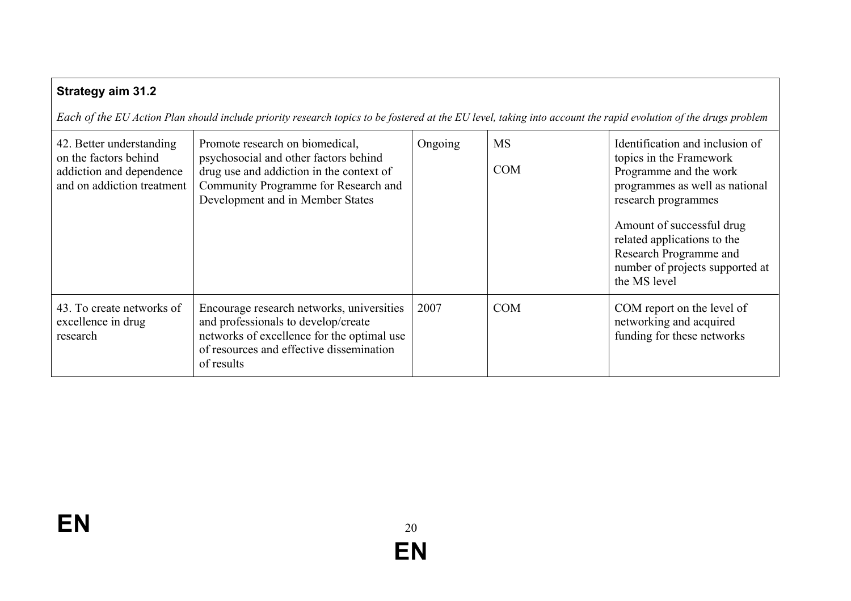# **Strategy aim 31.2**

*Each of the EU Action Plan should include priority research topics to be fostered at the EU level, taking into account the rapid evolution of the drugs problem*

| 42. Better understanding<br>on the factors behind<br>addiction and dependence<br>and on addiction treatment | Promote research on biomedical,<br>psychosocial and other factors behind<br>drug use and addiction in the context of<br>Community Programme for Research and<br>Development and in Member States | Ongoing | <b>MS</b><br><b>COM</b> | Identification and inclusion of<br>topics in the Framework<br>Programme and the work<br>programmes as well as national<br>research programmes<br>Amount of successful drug<br>related applications to the<br>Research Programme and<br>number of projects supported at<br>the MS level |
|-------------------------------------------------------------------------------------------------------------|--------------------------------------------------------------------------------------------------------------------------------------------------------------------------------------------------|---------|-------------------------|----------------------------------------------------------------------------------------------------------------------------------------------------------------------------------------------------------------------------------------------------------------------------------------|
| 43. To create networks of<br>excellence in drug<br>research                                                 | Encourage research networks, universities<br>and professionals to develop/create<br>networks of excellence for the optimal use<br>of resources and effective dissemination<br>of results         | 2007    | <b>COM</b>              | COM report on the level of<br>networking and acquired<br>funding for these networks                                                                                                                                                                                                    |